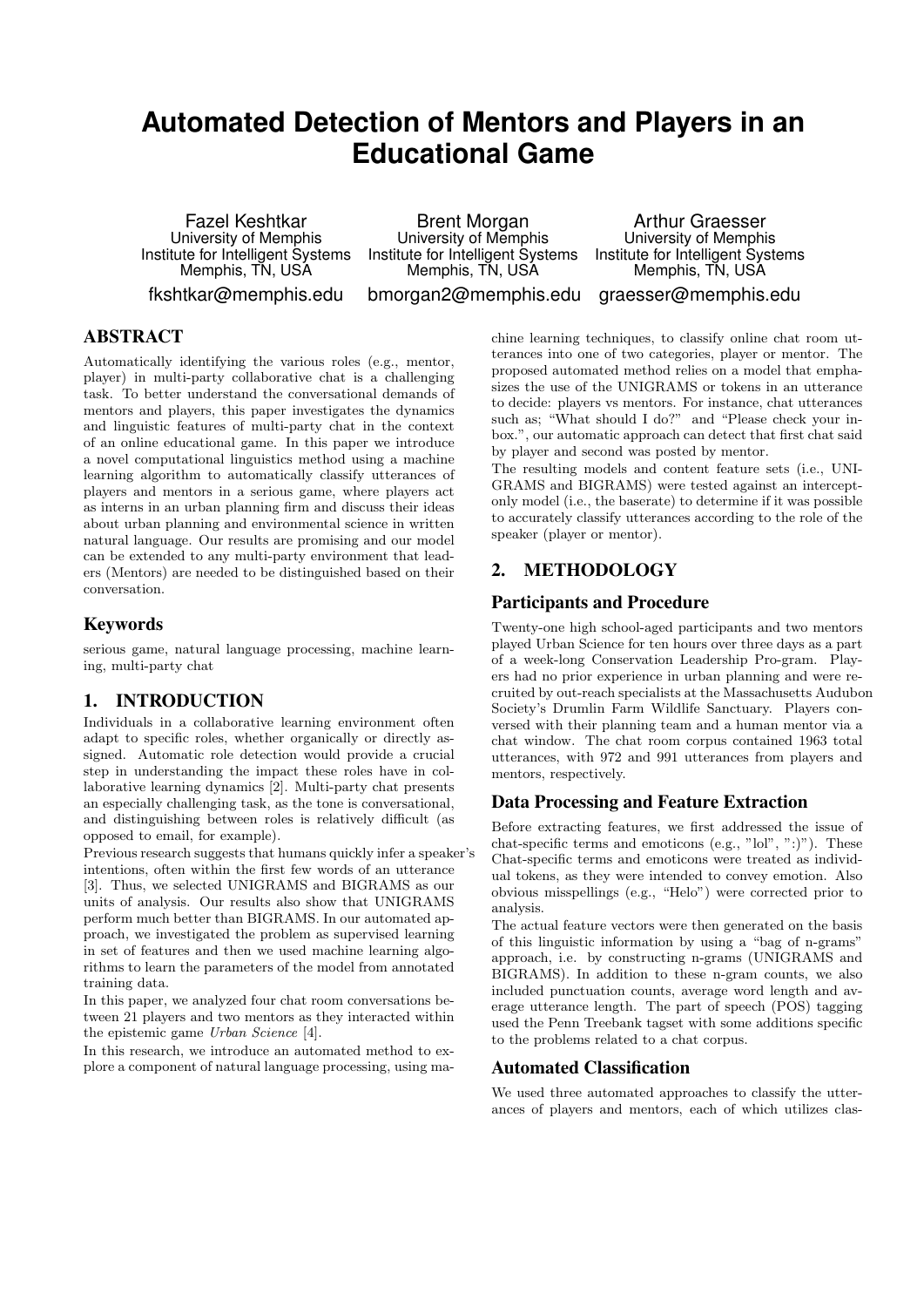# **Automated Detection of Mentors and Players in an Educational Game**

Fazel Keshtkar University of Memphis Institute for Intelligent Systems Memphis, TN, USA

fkshtkar@memphis.edu

Brent Morgan University of Memphis Institute for Intelligent Systems Memphis, TN, USA bmorgan2@memphis.edu

Arthur Graesser University of Memphis Institute for Intelligent Systems Memphis, TN, USA

graesser@memphis.edu

## **ABSTRACT**

Automatically identifying the various roles (e.g., mentor, player) in multi-party collaborative chat is a challenging task. To better understand the conversational demands of mentors and players, this paper investigates the dynamics and linguistic features of multi-party chat in the context of an online educational game. In this paper we introduce a novel computational linguistics method using a machine learning algorithm to automatically classify utterances of players and mentors in a serious game, where players act as interns in an urban planning firm and discuss their ideas about urban planning and environmental science in written natural language. Our results are promising and our model can be extended to any multi-party environment that leaders (Mentors) are needed to be distinguished based on their conversation.

#### Keywords

serious game, natural language processing, machine learning, multi-party chat

## 1. INTRODUCTION

Individuals in a collaborative learning environment often adapt to specific roles, whether organically or directly assigned. Automatic role detection would provide a crucial step in understanding the impact these roles have in collaborative learning dynamics [2]. Multi-party chat presents an especially challenging task, as the tone is conversational, and distinguishing between roles is relatively difficult (as opposed to email, for example).

Previous research suggests that humans quickly infer a speaker's intentions, often within the first few words of an utterance [3]. Thus, we selected UNIGRAMS and BIGRAMS as our units of analysis. Our results also show that UNIGRAMS perform much better than BIGRAMS. In our automated approach, we investigated the problem as supervised learning in set of features and then we used machine learning algorithms to learn the parameters of the model from annotated training data.

In this paper, we analyzed four chat room conversations between 21 players and two mentors as they interacted within the epistemic game Urban Science [4].

In this research, we introduce an automated method to explore a component of natural language processing, using machine learning techniques, to classify online chat room utterances into one of two categories, player or mentor. The proposed automated method relies on a model that emphasizes the use of the UNIGRAMS or tokens in an utterance to decide: players vs mentors. For instance, chat utterances such as: "What should I do?" and "Please check your inbox.", our automatic approach can detect that first chat said by player and second was posted by mentor.

The resulting models and content feature sets (i.e., UNI-GRAMS and BIGRAMS) were tested against an interceptonly model (i.e., the baserate) to determine if it was possible to accurately classify utterances according to the role of the speaker (player or mentor).

## 2. METHODOLOGY

## Participants and Procedure

Twenty-one high school-aged participants and two mentors played Urban Science for ten hours over three days as a part of a week-long Conservation Leadership Pro-gram. Players had no prior experience in urban planning and were recruited by out-reach specialists at the Massachusetts Audubon Society's Drumlin Farm Wildlife Sanctuary. Players conversed with their planning team and a human mentor via a chat window. The chat room corpus contained 1963 total utterances, with 972 and 991 utterances from players and mentors, respectively.

## Data Processing and Feature Extraction

Before extracting features, we first addressed the issue of chat-specific terms and emoticons (e.g., "lol", ":)"). These Chat-specific terms and emoticons were treated as individual tokens, as they were intended to convey emotion. Also obvious misspellings (e.g., "Helo") were corrected prior to analysis.

The actual feature vectors were then generated on the basis of this linguistic information by using a "bag of n-grams" approach, i.e. by constructing n-grams (UNIGRAMS and BIGRAMS). In addition to these n-gram counts, we also included punctuation counts, average word length and average utterance length. The part of speech (POS) tagging used the Penn Treebank tagset with some additions specific to the problems related to a chat corpus.

#### Automated Classification

We used three automated approaches to classify the utterances of players and mentors, each of which utilizes clas-